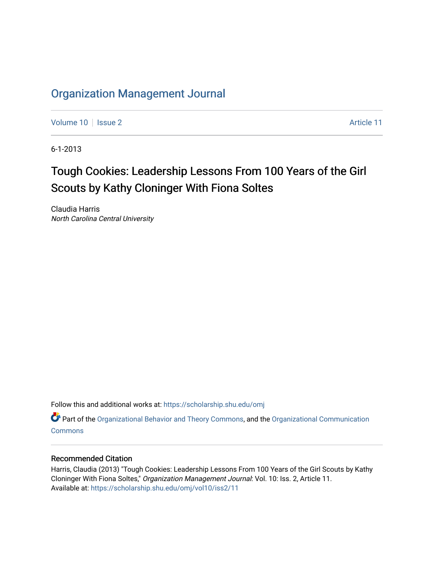# [Organization Management Journal](https://scholarship.shu.edu/omj)

[Volume 10](https://scholarship.shu.edu/omj/vol10) | [Issue 2](https://scholarship.shu.edu/omj/vol10/iss2) Article 11

6-1-2013

# Tough Cookies: Leadership Lessons From 100 Years of the Girl Scouts by Kathy Cloninger With Fiona Soltes

Claudia Harris North Carolina Central University

Follow this and additional works at: [https://scholarship.shu.edu/omj](https://scholarship.shu.edu/omj?utm_source=scholarship.shu.edu%2Fomj%2Fvol10%2Fiss2%2F11&utm_medium=PDF&utm_campaign=PDFCoverPages) 

Part of the [Organizational Behavior and Theory Commons,](http://network.bepress.com/hgg/discipline/639?utm_source=scholarship.shu.edu%2Fomj%2Fvol10%2Fiss2%2F11&utm_medium=PDF&utm_campaign=PDFCoverPages) and the [Organizational Communication](http://network.bepress.com/hgg/discipline/335?utm_source=scholarship.shu.edu%2Fomj%2Fvol10%2Fiss2%2F11&utm_medium=PDF&utm_campaign=PDFCoverPages) **[Commons](http://network.bepress.com/hgg/discipline/335?utm_source=scholarship.shu.edu%2Fomj%2Fvol10%2Fiss2%2F11&utm_medium=PDF&utm_campaign=PDFCoverPages)** 

## Recommended Citation

Harris, Claudia (2013) "Tough Cookies: Leadership Lessons From 100 Years of the Girl Scouts by Kathy Cloninger With Fiona Soltes," Organization Management Journal: Vol. 10: Iss. 2, Article 11. Available at: [https://scholarship.shu.edu/omj/vol10/iss2/11](https://scholarship.shu.edu/omj/vol10/iss2/11?utm_source=scholarship.shu.edu%2Fomj%2Fvol10%2Fiss2%2F11&utm_medium=PDF&utm_campaign=PDFCoverPages)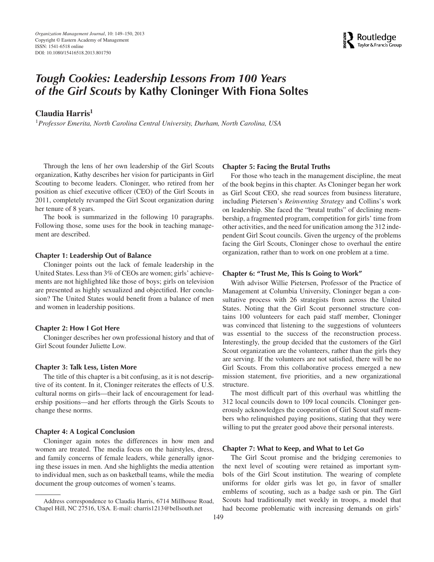

# *Tough Cookies: Leadership Lessons From 100 Years of the Girl Scouts* **by Kathy Cloninger With Fiona Soltes**

## **Claudia Harris<sup>1</sup>**

<sup>1</sup>*Professor Emerita, North Carolina Central University, Durham, North Carolina, USA*

Through the lens of her own leadership of the Girl Scouts organization, Kathy describes her vision for participants in Girl Scouting to become leaders. Cloninger, who retired from her position as chief executive officer (CEO) of the Girl Scouts in 2011, completely revamped the Girl Scout organization during her tenure of 8 years.

The book is summarized in the following 10 paragraphs. Following those, some uses for the book in teaching management are described.

#### **Chapter 1: Leadership Out of Balance**

Cloninger points out the lack of female leadership in the United States. Less than 3% of CEOs are women; girls' achievements are not highlighted like those of boys; girls on television are presented as highly sexualized and objectified. Her conclusion? The United States would benefit from a balance of men and women in leadership positions.

#### **Chapter 2: How I Got Here**

Cloninger describes her own professional history and that of Girl Scout founder Juliette Low.

#### **Chapter 3: Talk Less, Listen More**

The title of this chapter is a bit confusing, as it is not descriptive of its content. In it, Cloninger reiterates the effects of U.S. cultural norms on girls—their lack of encouragement for leadership positions—and her efforts through the Girls Scouts to change these norms.

#### **Chapter 4: A Logical Conclusion**

Cloninger again notes the differences in how men and women are treated. The media focus on the hairstyles, dress, and family concerns of female leaders, while generally ignoring these issues in men. And she highlights the media attention to individual men, such as on basketball teams, while the media document the group outcomes of women's teams.

#### **Chapter 5: Facing the Brutal Truths**

For those who teach in the management discipline, the meat of the book begins in this chapter. As Cloninger began her work as Girl Scout CEO, she read sources from business literature, including Pietersen's *Reinventing Strategy* and Collins's work on leadership. She faced the "brutal truths" of declining membership, a fragmented program, competition for girls' time from other activities, and the need for unification among the 312 independent Girl Scout councils. Given the urgency of the problems facing the Girl Scouts, Cloninger chose to overhaul the entire organization, rather than to work on one problem at a time.

#### **Chapter 6: "Trust Me, This Is Going to Work"**

With advisor Willie Pietersen, Professor of the Practice of Management at Columbia University, Cloninger began a consultative process with 26 strategists from across the United States. Noting that the Girl Scout personnel structure contains 100 volunteers for each paid staff member, Cloninger was convinced that listening to the suggestions of volunteers was essential to the success of the reconstruction process. Interestingly, the group decided that the customers of the Girl Scout organization are the volunteers, rather than the girls they are serving. If the volunteers are not satisfied, there will be no Girl Scouts. From this collaborative process emerged a new mission statement, five priorities, and a new organizational structure.

The most difficult part of this overhaul was whittling the 312 local councils down to 109 local councils. Cloninger generously acknowledges the cooperation of Girl Scout staff members who relinquished paying positions, stating that they were willing to put the greater good above their personal interests.

#### **Chapter 7: What to Keep, and What to Let Go**

The Girl Scout promise and the bridging ceremonies to the next level of scouting were retained as important symbols of the Girl Scout institution. The wearing of complete uniforms for older girls was let go, in favor of smaller emblems of scouting, such as a badge sash or pin. The Girl Scouts had traditionally met weekly in troops, a model that had become problematic with increasing demands on girls'

Address correspondence to Claudia Harris, 6714 Millhouse Road, Chapel Hill, NC 27516, USA. E-mail: charris1213@bellsouth.net